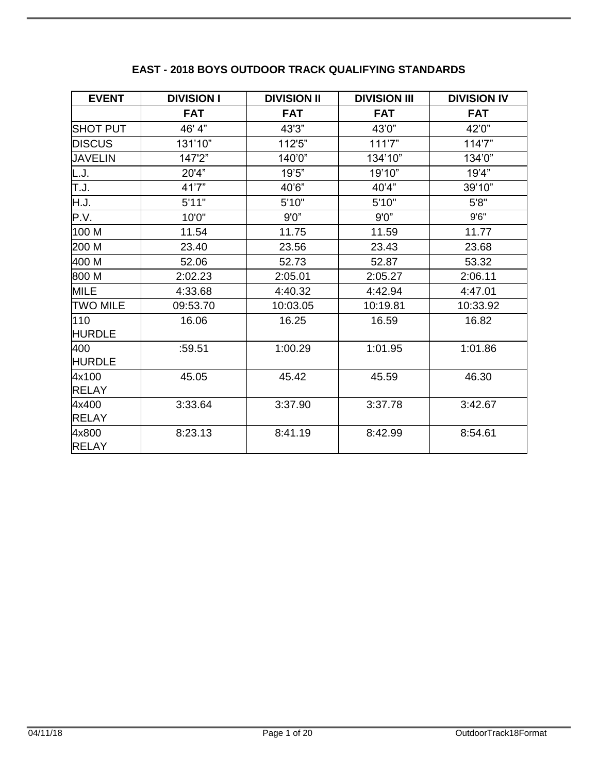| <b>EVENT</b>          | <b>DIVISION I</b> | <b>DIVISION II</b> | <b>DIVISION III</b> | <b>DIVISION IV</b> |
|-----------------------|-------------------|--------------------|---------------------|--------------------|
|                       | <b>FAT</b>        | <b>FAT</b>         | <b>FAT</b>          | <b>FAT</b>         |
| <b>SHOT PUT</b>       | 46' 4"            | 43'3"              | 43'0"               | 42'0"              |
| <b>DISCUS</b>         | 131'10"           | 112'5"             | 111'7"              | 114'7"             |
| <b>JAVELIN</b>        | 147'2"            | 140'0"             | 134'10"             | 134'0"             |
| L.J.                  | 20'4"             | 19'5"              | 19'10"              | 19'4"              |
| T.J.                  | 41'7"             | 40'6"              | 40'4"               | 39'10"             |
| H.J.                  | 5'11"             | 5'10"              | 5'10"               | 5'8''              |
| P.V.                  | 10'0"             | 9'0''              | 9'0''               | 9'6''              |
| 100 M                 | 11.54             | 11.75              | 11.59               | 11.77              |
| 200 M                 | 23.40             | 23.56              | 23.43               | 23.68              |
| 400 M                 | 52.06             | 52.73              | 52.87               | 53.32              |
| 800 M                 | 2:02.23           | 2:05.01            | 2:05.27             | 2:06.11            |
| <b>MILE</b>           | 4:33.68           | 4:40.32            | 4:42.94             | 4:47.01            |
| <b>TWO MILE</b>       | 09:53.70          | 10:03.05           | 10:19.81            | 10:33.92           |
| 110<br><b>HURDLE</b>  | 16.06             | 16.25              | 16.59               | 16.82              |
| 400<br><b>HURDLE</b>  | :59.51            | 1:00.29            | 1:01.95             | 1:01.86            |
| 4x100<br><b>RELAY</b> | 45.05             | 45.42              | 45.59               | 46.30              |
| 4x400<br><b>RELAY</b> | 3:33.64           | 3:37.90            | 3:37.78             | 3:42.67            |
| 4x800<br><b>RELAY</b> | 8:23.13           | 8:41.19            | 8:42.99             | 8:54.61            |

# **EAST - 2018 BOYS OUTDOOR TRACK QUALIFYING STANDARDS**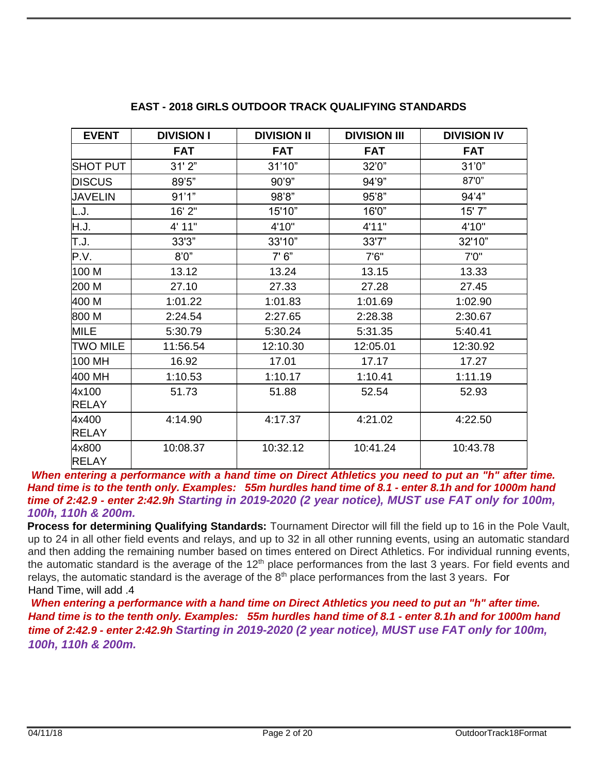| <b>EVENT</b>    | <b>DIVISION I</b> | <b>DIVISION II</b> | <b>DIVISION III</b> | <b>DIVISION IV</b> |
|-----------------|-------------------|--------------------|---------------------|--------------------|
|                 | <b>FAT</b>        | <b>FAT</b>         | <b>FAT</b>          | <b>FAT</b>         |
| <b>SHOT PUT</b> | 31'2"             | 31'10"             | 32'0"               | 31'0''             |
| <b>DISCUS</b>   | 89'5"             | 90'9"              | 94'9"               | 87'0"              |
| <b>JAVELIN</b>  | 91'1"             | 98'8"              | 95'8"               | 94'4"              |
| L.J.            | 16' 2"            | 15'10"             | 16'0"               | 15' 7"             |
| H.J.            | 4' 11"            | 4'10"              | 4'11"               | 4'10"              |
| T.J.            | 33'3"             | 33'10"             | 33'7"               | 32'10"             |
| P.V.            | 8'0''             | 7'6''              | 7'6''               | 7'0''              |
| 100 M           | 13.12             | 13.24              | 13.15               | 13.33              |
| 200 M           | 27.10             | 27.33              | 27.28               | 27.45              |
| 400 M           | 1:01.22           | 1:01.83            | 1:01.69             | 1:02.90            |
| 800 M           | 2:24.54           | 2:27.65            | 2:28.38             | 2:30.67            |
| <b>MILE</b>     | 5:30.79           | 5:30.24            | 5:31.35             | 5:40.41            |
| <b>TWO MILE</b> | 11:56.54          | 12:10.30           | 12:05.01            | 12:30.92           |
| 100 MH          | 16.92             | 17.01              | 17.17               | 17.27              |
| 400 MH          | 1:10.53           | 1:10.17            | 1:10.41             | 1:11.19            |
| 4x100           | 51.73             | 51.88              | 52.54               | 52.93              |
| <b>RELAY</b>    |                   |                    |                     |                    |
| 4x400           | 4:14.90           | 4:17.37            | 4:21.02             | 4:22.50            |
| <b>RELAY</b>    |                   |                    |                     |                    |
| 4x800           | 10:08.37          | 10:32.12           | 10:41.24            | 10:43.78           |
| <b>RELAY</b>    |                   |                    |                     |                    |

#### **EAST - 2018 GIRLS OUTDOOR TRACK QUALIFYING STANDARDS**

*When entering a performance with a hand time on Direct Athletics you need to put an "h" after time. Hand time is to the tenth only. Examples: 55m hurdles hand time of 8.1 - enter 8.1h and for 1000m hand time of 2:42.9 - enter 2:42.9h Starting in 2019-2020 (2 year notice), MUST use FAT only for 100m, 100h, 110h & 200m.* 

**Process for determining Qualifying Standards:** Tournament Director will fill the field up to 16 in the Pole Vault, up to 24 in all other field events and relays, and up to 32 in all other running events, using an automatic standard and then adding the remaining number based on times entered on Direct Athletics. For individual running events, the automatic standard is the average of the 12<sup>th</sup> place performances from the last 3 years. For field events and relays, the automatic standard is the average of the 8<sup>th</sup> place performances from the last 3 years. For Hand Time, will add .4

*When entering a performance with a hand time on Direct Athletics you need to put an "h" after time. Hand time is to the tenth only. Examples: 55m hurdles hand time of 8.1 - enter 8.1h and for 1000m hand time of 2:42.9 - enter 2:42.9h Starting in 2019-2020 (2 year notice), MUST use FAT only for 100m, 100h, 110h & 200m.*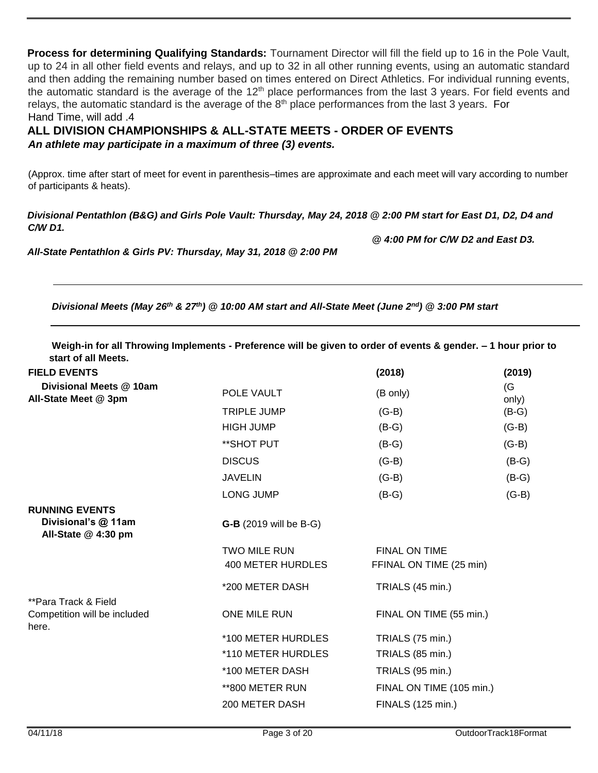**Process for determining Qualifying Standards:** Tournament Director will fill the field up to 16 in the Pole Vault, up to 24 in all other field events and relays, and up to 32 in all other running events, using an automatic standard and then adding the remaining number based on times entered on Direct Athletics. For individual running events, the automatic standard is the average of the  $12<sup>th</sup>$  place performances from the last 3 years. For field events and relays, the automatic standard is the average of the  $8<sup>th</sup>$  place performances from the last 3 years. For Hand Time, will add .4

**ALL DIVISION CHAMPIONSHIPS & ALL-STATE MEETS - ORDER OF EVENTS**  *An athlete may participate in a maximum of three (3) events.* 

(Approx. time after start of meet for event in parenthesis–times are approximate and each meet will vary according to number of participants & heats).

*Divisional Pentathlon (B&G) and Girls Pole Vault: Thursday, May 24, 2018 @ 2:00 PM start for East D1, D2, D4 and C/W D1.* 

*All-State Pentathlon & Girls PV: Thursday, May 31, 2018 @ 2:00 PM* 

*Divisional Meets (May 26th & 27th) @ 10:00 AM start and All-State Meet (June 2nd) @ 3:00 PM start* 

| Weigh-in for all Throwing Implements - Preference will be given to order of events & gender. - 1 hour prior to |  |
|----------------------------------------------------------------------------------------------------------------|--|
| start of all Meets.                                                                                            |  |

|                               | (2018)                                                               | (2019)                                                    |
|-------------------------------|----------------------------------------------------------------------|-----------------------------------------------------------|
|                               |                                                                      | (G)                                                       |
|                               |                                                                      | only)<br>$(B-G)$                                          |
|                               |                                                                      |                                                           |
|                               |                                                                      | $(G-B)$                                                   |
| ** SHOT PUT                   | $(B-G)$                                                              | $(G-B)$                                                   |
| <b>DISCUS</b>                 | $(G-B)$                                                              | $(B-G)$                                                   |
| <b>JAVELIN</b>                | $(G-B)$                                                              | $(B-G)$                                                   |
| <b>LONG JUMP</b>              | $(B-G)$                                                              | $(G-B)$                                                   |
|                               |                                                                      |                                                           |
| <b>G-B</b> (2019 will be B-G) |                                                                      |                                                           |
| <b>TWO MILE RUN</b>           | <b>FINAL ON TIME</b>                                                 |                                                           |
| 400 METER HURDLES             | FFINAL ON TIME (25 min)                                              |                                                           |
| *200 METER DASH               | TRIALS (45 min.)                                                     |                                                           |
|                               |                                                                      |                                                           |
|                               |                                                                      |                                                           |
| *100 METER HURDLES            | TRIALS (75 min.)                                                     |                                                           |
| *110 METER HURDLES            | TRIALS (85 min.)                                                     |                                                           |
| *100 METER DASH               | TRIALS (95 min.)                                                     |                                                           |
| **800 METER RUN               | FINAL ON TIME (105 min.)                                             |                                                           |
| 200 METER DASH                | FINALS (125 min.)                                                    |                                                           |
|                               | POLE VAULT<br><b>TRIPLE JUMP</b><br><b>HIGH JUMP</b><br>ONE MILE RUN | (B only)<br>$(G-B)$<br>$(B-G)$<br>FINAL ON TIME (55 min.) |

 *@ 4:00 PM for C/W D2 and East D3.*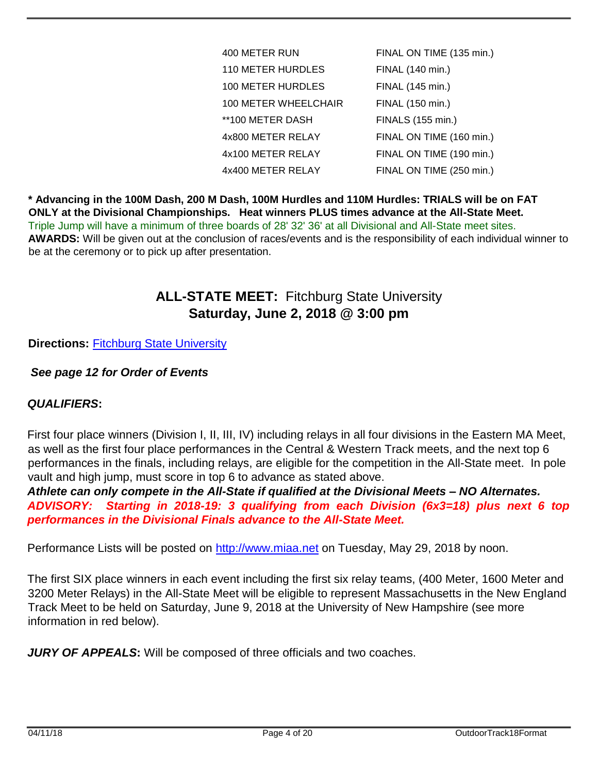| 400 METER RUN            | FINAL ON TIME (135 min.) |
|--------------------------|--------------------------|
| <b>110 METER HURDLES</b> | FINAL (140 min.)         |
| 100 METER HURDLES        | FINAL (145 min.)         |
| 100 METER WHEELCHAIR     | FINAL (150 min.)         |
| **100 METER DASH         | FINALS (155 min.)        |
| 4x800 METER RELAY        | FINAL ON TIME (160 min.) |
| 4x100 METER RELAY        | FINAL ON TIME (190 min.) |
| 4x400 METER RELAY        | FINAL ON TIME (250 min.) |

**\* Advancing in the 100M Dash, 200 M Dash, 100M Hurdles and 110M Hurdles: TRIALS will be on FAT ONLY at the Divisional Championships. Heat winners PLUS times advance at the All-State Meet.**  Triple Jump will have a minimum of three boards of 28' 32' 36' at all Divisional and All-State meet sites. **AWARDS:** Will be given out at the conclusion of races/events and is the responsibility of each individual winner to be at the ceremony or to pick up after presentation.

# **ALL-STATE MEET:** Fitchburg State University **Saturday, June 2, 2018 @ 3:00 pm**

## **Directions:** [Fitchburg](http://www.fitchburgfalcons.com/insideAthletics/facilities/directions_and_facilities) [State University](http://www.fitchburgfalcons.com/insideAthletics/facilities/directions_and_facilities)

## *See page 12 for Order of Events*

### *QUALIFIERS***:**

First four place winners (Division I, II, III, IV) including relays in all four divisions in the Eastern MA Meet, as well as the first four place performances in the Central & Western Track meets, and the next top 6 performances in the finals, including relays, are eligible for the competition in the All-State meet. In pole vault and high jump, must score in top 6 to advance as stated above.

*Athlete can only compete in the All-State if qualified at the Divisional Meets – NO Alternates. ADVISORY: Starting in 2018-19: 3 qualifying from each Division (6x3=18) plus next 6 top performances in the Divisional Finals advance to the All-State Meet.* 

Performance Lists will be posted on [http://www.miaa.net](http://www.miaa.net/) on Tuesday, May 29, 2018 by noon.

The first SIX place winners in each event including the first six relay teams, (400 Meter, 1600 Meter and 3200 Meter Relays) in the All-State Meet will be eligible to represent Massachusetts in the New England Track Meet to be held on Saturday, June 9, 2018 at the University of New Hampshire (see more information in red below).

*JURY OF APPEALS***:** Will be composed of three officials and two coaches.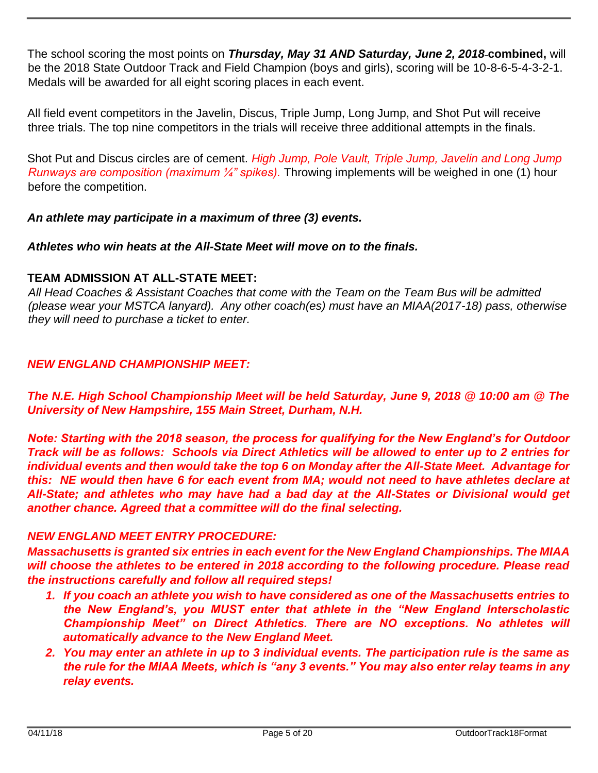The school scoring the most points on *Thursday, May 31 AND Saturday, June 2, 2018* **combined,** will be the 2018 State Outdoor Track and Field Champion (boys and girls), scoring will be 10-8-6-5-4-3-2-1. Medals will be awarded for all eight scoring places in each event.

All field event competitors in the Javelin, Discus, Triple Jump, Long Jump, and Shot Put will receive three trials. The top nine competitors in the trials will receive three additional attempts in the finals.

Shot Put and Discus circles are of cement. *High Jump, Pole Vault, Triple Jump, Javelin and Long Jump Runways are composition (maximum ¼" spikes).* Throwing implements will be weighed in one (1) hour before the competition.

*An athlete may participate in a maximum of three (3) events.* 

*Athletes who win heats at the All-State Meet will move on to the finals.* 

# **TEAM ADMISSION AT ALL-STATE MEET:**

*All Head Coaches & Assistant Coaches that come with the Team on the Team Bus will be admitted (please wear your MSTCA lanyard). Any other coach(es) must have an MIAA(2017-18) pass, otherwise they will need to purchase a ticket to enter.* 

# *NEW ENGLAND CHAMPIONSHIP MEET:*

*The N.E. High School Championship Meet will be held Saturday, June 9, 2018 @ 10:00 am @ The University of New Hampshire, 155 Main Street, Durham, N.H.* 

*Note: Starting with the 2018 season, the process for qualifying for the New England's for Outdoor Track will be as follows: Schools via Direct Athletics will be allowed to enter up to 2 entries for individual events and then would take the top 6 on Monday after the All-State Meet. Advantage for this: NE would then have 6 for each event from MA; would not need to have athletes declare at All-State; and athletes who may have had a bad day at the All-States or Divisional would get another chance. Agreed that a committee will do the final selecting.*

### *NEW ENGLAND MEET ENTRY PROCEDURE:*

*Massachusetts is granted six entries in each event for the New England Championships. The MIAA*  will choose the athletes to be entered in 2018 according to the following procedure. Please read *the instructions carefully and follow all required steps!* 

- *1. If you coach an athlete you wish to have considered as one of the Massachusetts entries to the New England's, you MUST enter that athlete in the "New England Interscholastic Championship Meet" on Direct Athletics. There are NO exceptions. No athletes will automatically advance to the New England Meet.*
- *2. You may enter an athlete in up to 3 individual events. The participation rule is the same as the rule for the MIAA Meets, which is "any 3 events." You may also enter relay teams in any relay events.*